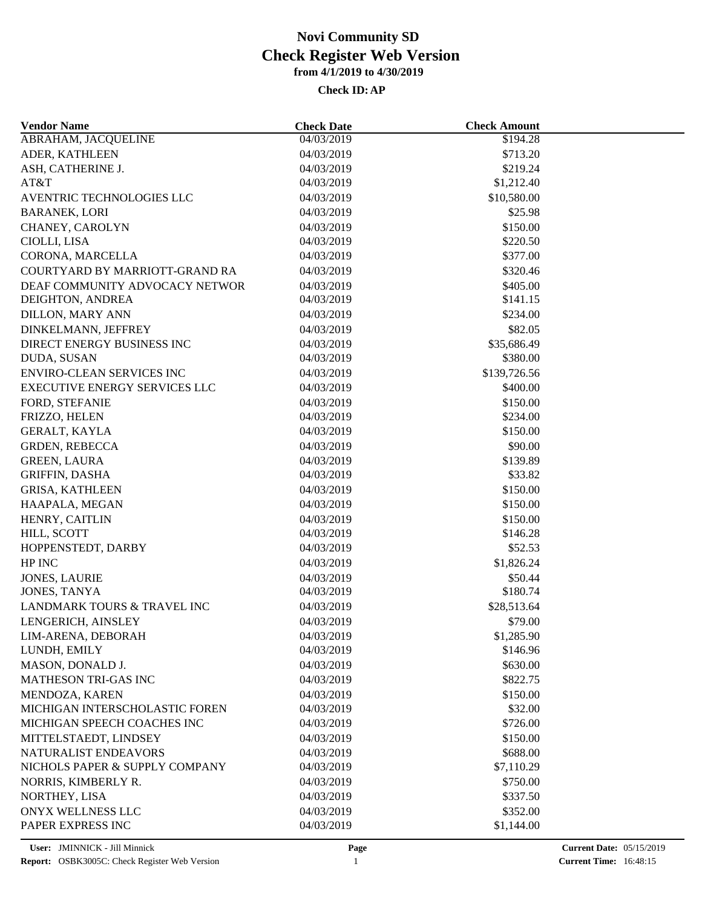| <b>Vendor Name</b>               | <b>Check Date</b>        | <b>Check Amount</b>  |  |
|----------------------------------|--------------------------|----------------------|--|
| <b>ABRAHAM, JACQUELINE</b>       | 04/03/2019               | \$194.28             |  |
| ADER, KATHLEEN                   | 04/03/2019               | \$713.20             |  |
| ASH, CATHERINE J.                | 04/03/2019               | \$219.24             |  |
| AT&T                             | 04/03/2019               | \$1,212.40           |  |
| AVENTRIC TECHNOLOGIES LLC        | 04/03/2019               | \$10,580.00          |  |
| <b>BARANEK, LORI</b>             | 04/03/2019               | \$25.98              |  |
| CHANEY, CAROLYN                  | 04/03/2019               | \$150.00             |  |
| CIOLLI, LISA                     | 04/03/2019               | \$220.50             |  |
| CORONA, MARCELLA                 | 04/03/2019               | \$377.00             |  |
| COURTYARD BY MARRIOTT-GRAND RA   | 04/03/2019               | \$320.46             |  |
| DEAF COMMUNITY ADVOCACY NETWOR   | 04/03/2019               | \$405.00             |  |
| DEIGHTON, ANDREA                 | 04/03/2019               | \$141.15             |  |
| <b>DILLON, MARY ANN</b>          | 04/03/2019               | \$234.00             |  |
| DINKELMANN, JEFFREY              | 04/03/2019               | \$82.05              |  |
| DIRECT ENERGY BUSINESS INC       | 04/03/2019               | \$35,686.49          |  |
| DUDA, SUSAN                      | 04/03/2019               | \$380.00             |  |
| <b>ENVIRO-CLEAN SERVICES INC</b> | 04/03/2019               | \$139,726.56         |  |
| EXECUTIVE ENERGY SERVICES LLC    | 04/03/2019               | \$400.00             |  |
| FORD, STEFANIE                   | 04/03/2019               | \$150.00             |  |
| FRIZZO, HELEN                    | 04/03/2019               | \$234.00             |  |
| GERALT, KAYLA                    | 04/03/2019               | \$150.00             |  |
| <b>GRDEN, REBECCA</b>            | 04/03/2019               | \$90.00              |  |
| <b>GREEN, LAURA</b>              | 04/03/2019               | \$139.89             |  |
| <b>GRIFFIN, DASHA</b>            | 04/03/2019               | \$33.82              |  |
| <b>GRISA, KATHLEEN</b>           | 04/03/2019               | \$150.00             |  |
| HAAPALA, MEGAN                   | 04/03/2019               | \$150.00             |  |
| HENRY, CAITLIN                   |                          |                      |  |
| HILL, SCOTT                      | 04/03/2019<br>04/03/2019 | \$150.00<br>\$146.28 |  |
| HOPPENSTEDT, DARBY               | 04/03/2019               | \$52.53              |  |
| HP INC                           |                          |                      |  |
|                                  | 04/03/2019               | \$1,826.24           |  |
| <b>JONES, LAURIE</b>             | 04/03/2019               | \$50.44<br>\$180.74  |  |
| JONES, TANYA                     | 04/03/2019               |                      |  |
| LANDMARK TOURS & TRAVEL INC      | 04/03/2019               | \$28,513.64          |  |
| LENGERICH, AINSLEY               | 04/03/2019               | \$79.00              |  |
| LIM-ARENA, DEBORAH               | 04/03/2019               | \$1,285.90           |  |
| LUNDH, EMILY                     | 04/03/2019               | \$146.96             |  |
| MASON, DONALD J.                 | 04/03/2019               | \$630.00             |  |
| <b>MATHESON TRI-GAS INC</b>      | 04/03/2019               | \$822.75             |  |
| MENDOZA, KAREN                   | 04/03/2019               | \$150.00             |  |
| MICHIGAN INTERSCHOLASTIC FOREN   | 04/03/2019               | \$32.00              |  |
| MICHIGAN SPEECH COACHES INC      | 04/03/2019               | \$726.00             |  |
| MITTELSTAEDT, LINDSEY            | 04/03/2019               | \$150.00             |  |
| NATURALIST ENDEAVORS             | 04/03/2019               | \$688.00             |  |
| NICHOLS PAPER & SUPPLY COMPANY   | 04/03/2019               | \$7,110.29           |  |
| NORRIS, KIMBERLY R.              | 04/03/2019               | \$750.00             |  |
| NORTHEY, LISA                    | 04/03/2019               | \$337.50             |  |
| <b>ONYX WELLNESS LLC</b>         | 04/03/2019               | \$352.00             |  |
| PAPER EXPRESS INC                | 04/03/2019               | \$1,144.00           |  |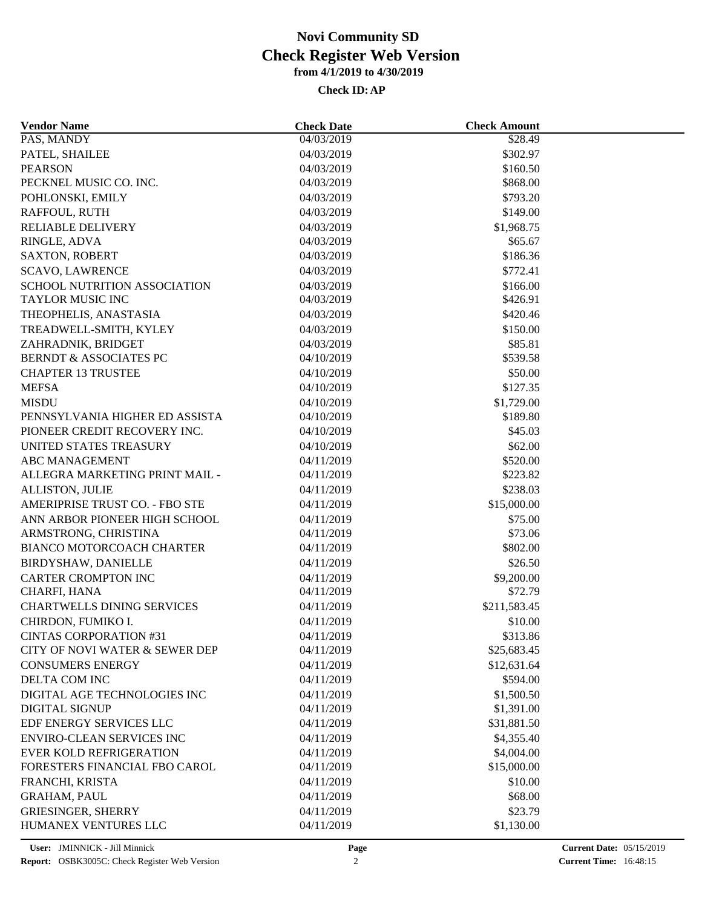| <b>Vendor Name</b>                | <b>Check Date</b>        | <b>Check Amount</b>    |  |
|-----------------------------------|--------------------------|------------------------|--|
| PAS, MANDY                        | 04/03/2019               | \$28.49                |  |
| PATEL, SHAILEE                    | 04/03/2019               | \$302.97               |  |
| <b>PEARSON</b>                    | 04/03/2019               | \$160.50               |  |
| PECKNEL MUSIC CO. INC.            | 04/03/2019               | \$868.00               |  |
| POHLONSKI, EMILY                  | 04/03/2019               | \$793.20               |  |
| RAFFOUL, RUTH                     | 04/03/2019               | \$149.00               |  |
| <b>RELIABLE DELIVERY</b>          | 04/03/2019               | \$1,968.75             |  |
| RINGLE, ADVA                      | 04/03/2019               | \$65.67                |  |
| <b>SAXTON, ROBERT</b>             | 04/03/2019               | \$186.36               |  |
| <b>SCAVO, LAWRENCE</b>            | 04/03/2019               | \$772.41               |  |
| SCHOOL NUTRITION ASSOCIATION      | 04/03/2019               | \$166.00               |  |
| TAYLOR MUSIC INC                  | 04/03/2019               | \$426.91               |  |
| THEOPHELIS, ANASTASIA             | 04/03/2019               | \$420.46               |  |
| TREADWELL-SMITH, KYLEY            | 04/03/2019               | \$150.00               |  |
| ZAHRADNIK, BRIDGET                | 04/03/2019               | \$85.81                |  |
| <b>BERNDT &amp; ASSOCIATES PC</b> | 04/10/2019               | \$539.58               |  |
| <b>CHAPTER 13 TRUSTEE</b>         | 04/10/2019               | \$50.00                |  |
| <b>MEFSA</b>                      | 04/10/2019               | \$127.35               |  |
| <b>MISDU</b>                      | 04/10/2019               | \$1,729.00             |  |
| PENNSYLVANIA HIGHER ED ASSISTA    | 04/10/2019               | \$189.80               |  |
| PIONEER CREDIT RECOVERY INC.      | 04/10/2019               | \$45.03                |  |
| UNITED STATES TREASURY            | 04/10/2019               | \$62.00                |  |
| <b>ABC MANAGEMENT</b>             | 04/11/2019               | \$520.00               |  |
| ALLEGRA MARKETING PRINT MAIL -    | 04/11/2019               | \$223.82               |  |
| ALLISTON, JULIE                   | 04/11/2019               | \$238.03               |  |
| AMERIPRISE TRUST CO. - FBO STE    | 04/11/2019               | \$15,000.00            |  |
| ANN ARBOR PIONEER HIGH SCHOOL     | 04/11/2019               | \$75.00                |  |
| ARMSTRONG, CHRISTINA              | 04/11/2019               | \$73.06                |  |
| <b>BIANCO MOTORCOACH CHARTER</b>  | 04/11/2019               | \$802.00               |  |
| BIRDYSHAW, DANIELLE               | 04/11/2019               | \$26.50                |  |
| <b>CARTER CROMPTON INC</b>        | 04/11/2019               | \$9,200.00             |  |
| CHARFI, HANA                      | 04/11/2019               | \$72.79                |  |
| <b>CHARTWELLS DINING SERVICES</b> | 04/11/2019               | \$211,583.45           |  |
| CHIRDON, FUMIKO I.                | 04/11/2019               | \$10.00                |  |
| <b>CINTAS CORPORATION #31</b>     | 04/11/2019               | \$313.86               |  |
| CITY OF NOVI WATER & SEWER DEP    | 04/11/2019               | \$25,683.45            |  |
| <b>CONSUMERS ENERGY</b>           | 04/11/2019               | \$12,631.64            |  |
| DELTA COM INC                     | 04/11/2019               | \$594.00               |  |
| DIGITAL AGE TECHNOLOGIES INC      | 04/11/2019               | \$1,500.50             |  |
| <b>DIGITAL SIGNUP</b>             | 04/11/2019               | \$1,391.00             |  |
| EDF ENERGY SERVICES LLC           | 04/11/2019               | \$31,881.50            |  |
| <b>ENVIRO-CLEAN SERVICES INC</b>  | 04/11/2019               | \$4,355.40             |  |
| <b>EVER KOLD REFRIGERATION</b>    |                          |                        |  |
|                                   | 04/11/2019               | \$4,004.00             |  |
| FORESTERS FINANCIAL FBO CAROL     | 04/11/2019<br>04/11/2019 | \$15,000.00<br>\$10.00 |  |
| FRANCHI, KRISTA                   |                          |                        |  |
| <b>GRAHAM, PAUL</b>               | 04/11/2019               | \$68.00                |  |
| <b>GRIESINGER, SHERRY</b>         | 04/11/2019               | \$23.79                |  |
| HUMANEX VENTURES LLC              | 04/11/2019               | \$1,130.00             |  |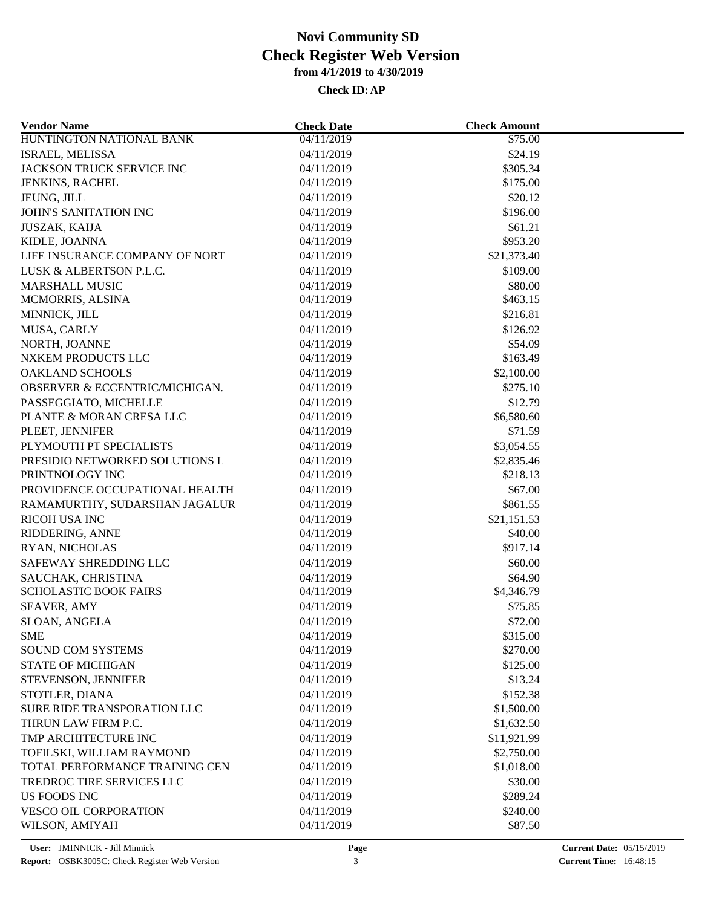| <b>Vendor Name</b>               | <b>Check Date</b>        | <b>Check Amount</b>    |  |
|----------------------------------|--------------------------|------------------------|--|
| HUNTINGTON NATIONAL BANK         | 04/11/2019               | \$75.00                |  |
| ISRAEL, MELISSA                  | 04/11/2019               | \$24.19                |  |
| JACKSON TRUCK SERVICE INC        | 04/11/2019               | \$305.34               |  |
| <b>JENKINS, RACHEL</b>           | 04/11/2019               | \$175.00               |  |
| JEUNG, JILL                      | 04/11/2019               | \$20.12                |  |
| JOHN'S SANITATION INC            | 04/11/2019               | \$196.00               |  |
| <b>JUSZAK, KAIJA</b>             | 04/11/2019               | \$61.21                |  |
| KIDLE, JOANNA                    | 04/11/2019               | \$953.20               |  |
| LIFE INSURANCE COMPANY OF NORT   | 04/11/2019               | \$21,373.40            |  |
| LUSK & ALBERTSON P.L.C.          | 04/11/2019               | \$109.00               |  |
| <b>MARSHALL MUSIC</b>            | 04/11/2019               | \$80.00                |  |
| MCMORRIS, ALSINA                 | 04/11/2019               | \$463.15               |  |
| MINNICK, JILL                    | 04/11/2019               | \$216.81               |  |
| MUSA, CARLY                      | 04/11/2019               | \$126.92               |  |
| NORTH, JOANNE                    | 04/11/2019               | \$54.09                |  |
| NXKEM PRODUCTS LLC               | 04/11/2019               | \$163.49               |  |
| <b>OAKLAND SCHOOLS</b>           | 04/11/2019               | \$2,100.00             |  |
| OBSERVER & ECCENTRIC/MICHIGAN.   | 04/11/2019               | \$275.10               |  |
| PASSEGGIATO, MICHELLE            | 04/11/2019               | \$12.79                |  |
| PLANTE & MORAN CRESA LLC         | 04/11/2019               | \$6,580.60             |  |
| PLEET, JENNIFER                  | 04/11/2019               | \$71.59                |  |
| PLYMOUTH PT SPECIALISTS          | 04/11/2019               | \$3,054.55             |  |
| PRESIDIO NETWORKED SOLUTIONS L   | 04/11/2019               | \$2,835.46             |  |
| PRINTNOLOGY INC                  | 04/11/2019               | \$218.13               |  |
| PROVIDENCE OCCUPATIONAL HEALTH   | 04/11/2019               | \$67.00                |  |
| RAMAMURTHY, SUDARSHAN JAGALUR    | 04/11/2019               | \$861.55               |  |
|                                  |                          |                        |  |
| RICOH USA INC<br>RIDDERING, ANNE | 04/11/2019<br>04/11/2019 | \$21,151.53<br>\$40.00 |  |
|                                  |                          | \$917.14               |  |
| RYAN, NICHOLAS                   | 04/11/2019               |                        |  |
| SAFEWAY SHREDDING LLC            | 04/11/2019               | \$60.00                |  |
| SAUCHAK, CHRISTINA               | 04/11/2019               | \$64.90                |  |
| <b>SCHOLASTIC BOOK FAIRS</b>     | 04/11/2019               | \$4,346.79             |  |
| <b>SEAVER, AMY</b>               | 04/11/2019               | \$75.85                |  |
| SLOAN, ANGELA                    | 04/11/2019               | \$72.00                |  |
| <b>SME</b>                       | 04/11/2019               | \$315.00               |  |
| <b>SOUND COM SYSTEMS</b>         | 04/11/2019               | \$270.00               |  |
| <b>STATE OF MICHIGAN</b>         | 04/11/2019               | \$125.00               |  |
| STEVENSON, JENNIFER              | 04/11/2019               | \$13.24                |  |
| STOTLER, DIANA                   | 04/11/2019               | \$152.38               |  |
| SURE RIDE TRANSPORATION LLC      | 04/11/2019               | \$1,500.00             |  |
| THRUN LAW FIRM P.C.              | 04/11/2019               | \$1,632.50             |  |
| TMP ARCHITECTURE INC             | 04/11/2019               | \$11,921.99            |  |
| TOFILSKI, WILLIAM RAYMOND        | 04/11/2019               | \$2,750.00             |  |
| TOTAL PERFORMANCE TRAINING CEN   | 04/11/2019               | \$1,018.00             |  |
| TREDROC TIRE SERVICES LLC        | 04/11/2019               | \$30.00                |  |
| <b>US FOODS INC</b>              | 04/11/2019               | \$289.24               |  |
| <b>VESCO OIL CORPORATION</b>     | 04/11/2019               | \$240.00               |  |
| WILSON, AMIYAH                   | 04/11/2019               | \$87.50                |  |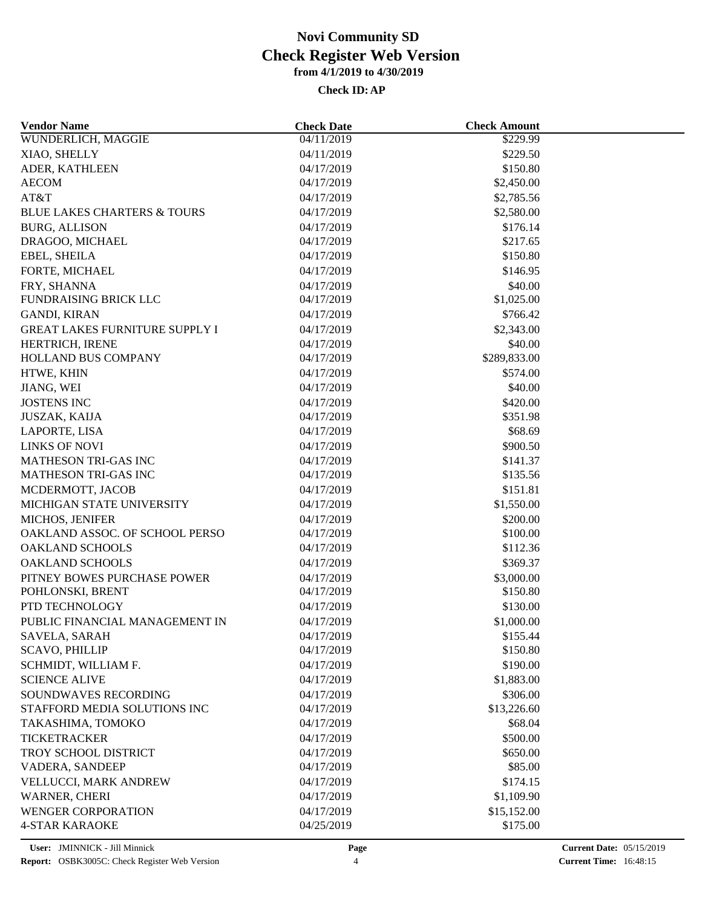| <b>Vendor Name</b>                     | <b>Check Date</b> | <b>Check Amount</b> |  |
|----------------------------------------|-------------------|---------------------|--|
| WUNDERLICH, MAGGIE                     | 04/11/2019        | \$229.99            |  |
| XIAO, SHELLY                           | 04/11/2019        | \$229.50            |  |
| ADER, KATHLEEN                         | 04/17/2019        | \$150.80            |  |
| <b>AECOM</b>                           | 04/17/2019        | \$2,450.00          |  |
| AT&T                                   | 04/17/2019        | \$2,785.56          |  |
| <b>BLUE LAKES CHARTERS &amp; TOURS</b> | 04/17/2019        | \$2,580.00          |  |
| <b>BURG, ALLISON</b>                   | 04/17/2019        | \$176.14            |  |
| DRAGOO, MICHAEL                        | 04/17/2019        | \$217.65            |  |
| EBEL, SHEILA                           | 04/17/2019        | \$150.80            |  |
| FORTE, MICHAEL                         | 04/17/2019        | \$146.95            |  |
| FRY, SHANNA                            | 04/17/2019        | \$40.00             |  |
| FUNDRAISING BRICK LLC                  | 04/17/2019        | \$1,025.00          |  |
| <b>GANDI, KIRAN</b>                    | 04/17/2019        | \$766.42            |  |
| <b>GREAT LAKES FURNITURE SUPPLY I</b>  | 04/17/2019        | \$2,343.00          |  |
| HERTRICH, IRENE                        | 04/17/2019        | \$40.00             |  |
| HOLLAND BUS COMPANY                    | 04/17/2019        | \$289,833.00        |  |
| HTWE, KHIN                             | 04/17/2019        | \$574.00            |  |
| JIANG, WEI                             | 04/17/2019        | \$40.00             |  |
| <b>JOSTENS INC</b>                     | 04/17/2019        | \$420.00            |  |
| JUSZAK, KAIJA                          | 04/17/2019        | \$351.98            |  |
| LAPORTE, LISA                          | 04/17/2019        | \$68.69             |  |
| <b>LINKS OF NOVI</b>                   | 04/17/2019        | \$900.50            |  |
| <b>MATHESON TRI-GAS INC</b>            | 04/17/2019        | \$141.37            |  |
| MATHESON TRI-GAS INC                   | 04/17/2019        | \$135.56            |  |
| MCDERMOTT, JACOB                       | 04/17/2019        | \$151.81            |  |
| MICHIGAN STATE UNIVERSITY              | 04/17/2019        | \$1,550.00          |  |
| MICHOS, JENIFER                        | 04/17/2019        | \$200.00            |  |
| OAKLAND ASSOC. OF SCHOOL PERSO         | 04/17/2019        | \$100.00            |  |
| <b>OAKLAND SCHOOLS</b>                 | 04/17/2019        | \$112.36            |  |
| OAKLAND SCHOOLS                        | 04/17/2019        | \$369.37            |  |
| PITNEY BOWES PURCHASE POWER            | 04/17/2019        | \$3,000.00          |  |
| POHLONSKI, BRENT                       | 04/17/2019        | \$150.80            |  |
| PTD TECHNOLOGY                         | 04/17/2019        | \$130.00            |  |
| PUBLIC FINANCIAL MANAGEMENT IN         | 04/17/2019        | \$1,000.00          |  |
| SAVELA, SARAH                          | 04/17/2019        | \$155.44            |  |
| <b>SCAVO, PHILLIP</b>                  | 04/17/2019        | \$150.80            |  |
| SCHMIDT, WILLIAM F.                    | 04/17/2019        | \$190.00            |  |
| <b>SCIENCE ALIVE</b>                   | 04/17/2019        | \$1,883.00          |  |
| SOUNDWAVES RECORDING                   | 04/17/2019        | \$306.00            |  |
| STAFFORD MEDIA SOLUTIONS INC           | 04/17/2019        | \$13,226.60         |  |
| TAKASHIMA, TOMOKO                      | 04/17/2019        | \$68.04             |  |
| <b>TICKETRACKER</b>                    | 04/17/2019        | \$500.00            |  |
| <b>TROY SCHOOL DISTRICT</b>            | 04/17/2019        | \$650.00            |  |
| VADERA, SANDEEP                        | 04/17/2019        | \$85.00             |  |
| VELLUCCI, MARK ANDREW                  | 04/17/2019        | \$174.15            |  |
|                                        |                   |                     |  |
| <b>WARNER, CHERI</b>                   | 04/17/2019        | \$1,109.90          |  |
| <b>WENGER CORPORATION</b>              | 04/17/2019        | \$15,152.00         |  |
| <b>4-STAR KARAOKE</b>                  | 04/25/2019        | \$175.00            |  |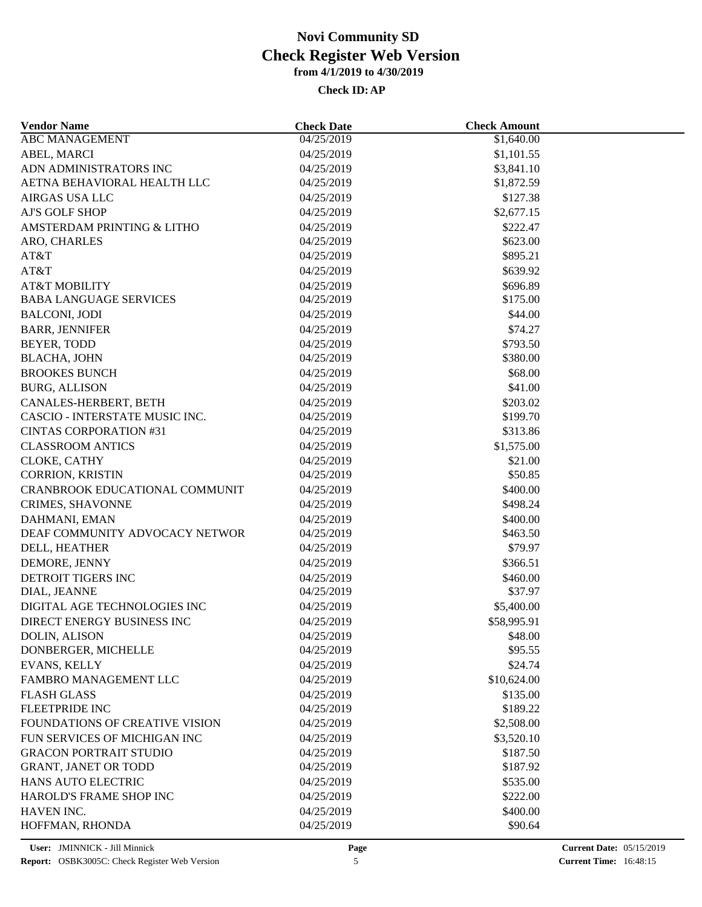| <b>Vendor Name</b>                    | <b>Check Date</b>        | <b>Check Amount</b> |  |
|---------------------------------------|--------------------------|---------------------|--|
| <b>ABC MANAGEMENT</b>                 | 04/25/2019               | \$1,640.00          |  |
| ABEL, MARCI                           | 04/25/2019               | \$1,101.55          |  |
| ADN ADMINISTRATORS INC                | 04/25/2019               | \$3,841.10          |  |
| AETNA BEHAVIORAL HEALTH LLC           | 04/25/2019               | \$1,872.59          |  |
| <b>AIRGAS USA LLC</b>                 | 04/25/2019               | \$127.38            |  |
| AJ'S GOLF SHOP                        | 04/25/2019               | \$2,677.15          |  |
| AMSTERDAM PRINTING & LITHO            | 04/25/2019               | \$222.47            |  |
| ARO, CHARLES                          | 04/25/2019               | \$623.00            |  |
| AT&T                                  | 04/25/2019               | \$895.21            |  |
| AT&T                                  | 04/25/2019               | \$639.92            |  |
| <b>AT&amp;T MOBILITY</b>              | 04/25/2019               | \$696.89            |  |
| <b>BABA LANGUAGE SERVICES</b>         | 04/25/2019               | \$175.00            |  |
| <b>BALCONI, JODI</b>                  | 04/25/2019               | \$44.00             |  |
| <b>BARR, JENNIFER</b>                 | 04/25/2019               | \$74.27             |  |
| BEYER, TODD                           | 04/25/2019               | \$793.50            |  |
| <b>BLACHA, JOHN</b>                   | 04/25/2019               | \$380.00            |  |
| <b>BROOKES BUNCH</b>                  | 04/25/2019               | \$68.00             |  |
| <b>BURG, ALLISON</b>                  | 04/25/2019               | \$41.00             |  |
| CANALES-HERBERT, BETH                 | 04/25/2019               | \$203.02            |  |
| CASCIO - INTERSTATE MUSIC INC.        | 04/25/2019               | \$199.70            |  |
| <b>CINTAS CORPORATION #31</b>         | 04/25/2019               | \$313.86            |  |
| <b>CLASSROOM ANTICS</b>               | 04/25/2019               | \$1,575.00          |  |
| CLOKE, CATHY                          | 04/25/2019               | \$21.00             |  |
| CORRION, KRISTIN                      | 04/25/2019               | \$50.85             |  |
| <b>CRANBROOK EDUCATIONAL COMMUNIT</b> | 04/25/2019               | \$400.00            |  |
| CRIMES, SHAVONNE                      | 04/25/2019               | \$498.24            |  |
| DAHMANI, EMAN                         | 04/25/2019               | \$400.00            |  |
| DEAF COMMUNITY ADVOCACY NETWOR        | 04/25/2019               | \$463.50            |  |
| DELL, HEATHER                         | 04/25/2019               | \$79.97             |  |
| DEMORE, JENNY                         | 04/25/2019               | \$366.51            |  |
| DETROIT TIGERS INC                    |                          | \$460.00            |  |
| DIAL, JEANNE                          | 04/25/2019<br>04/25/2019 | \$37.97             |  |
| DIGITAL AGE TECHNOLOGIES INC          |                          |                     |  |
|                                       | 04/25/2019               | \$5,400.00          |  |
| DIRECT ENERGY BUSINESS INC            | 04/25/2019               | \$58,995.91         |  |
| <b>DOLIN, ALISON</b>                  | 04/25/2019               | \$48.00             |  |
| DONBERGER, MICHELLE                   | 04/25/2019               | \$95.55             |  |
| EVANS, KELLY                          | 04/25/2019               | \$24.74             |  |
| FAMBRO MANAGEMENT LLC                 | 04/25/2019               | \$10,624.00         |  |
| <b>FLASH GLASS</b>                    | 04/25/2019               | \$135.00            |  |
| <b>FLEETPRIDE INC</b>                 | 04/25/2019               | \$189.22            |  |
| FOUNDATIONS OF CREATIVE VISION        | 04/25/2019               | \$2,508.00          |  |
| FUN SERVICES OF MICHIGAN INC          | 04/25/2019               | \$3,520.10          |  |
| <b>GRACON PORTRAIT STUDIO</b>         | 04/25/2019               | \$187.50            |  |
| <b>GRANT, JANET OR TODD</b>           | 04/25/2019               | \$187.92            |  |
| <b>HANS AUTO ELECTRIC</b>             | 04/25/2019               | \$535.00            |  |
| HAROLD'S FRAME SHOP INC               | 04/25/2019               | \$222.00            |  |
| HAVEN INC.                            | 04/25/2019               | \$400.00            |  |
| HOFFMAN, RHONDA                       | 04/25/2019               | \$90.64             |  |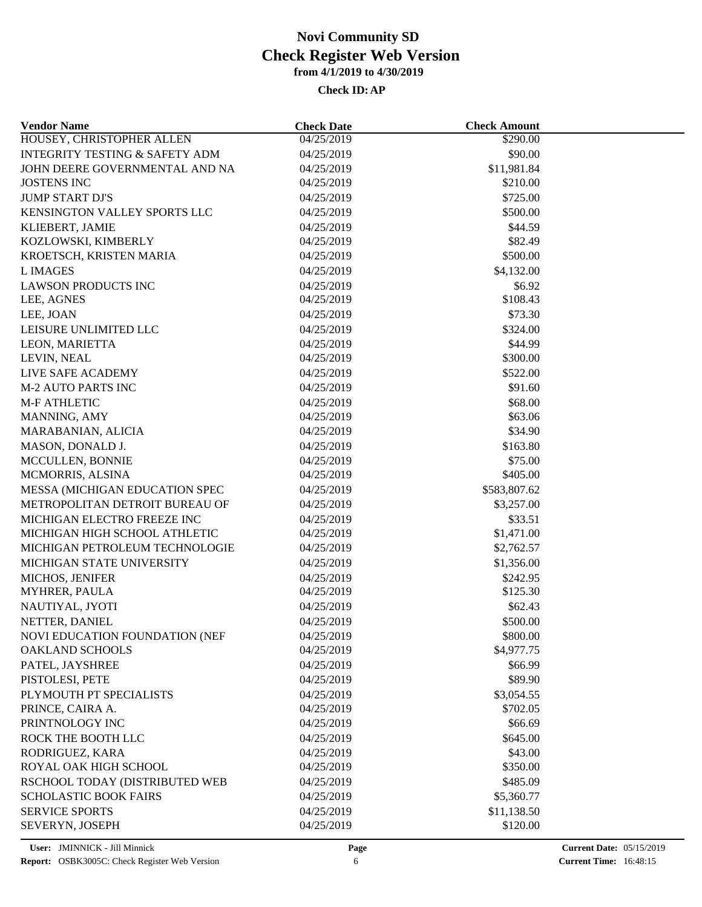| <b>Vendor Name</b>                        | <b>Check Date</b> | <b>Check Amount</b> |  |
|-------------------------------------------|-------------------|---------------------|--|
| HOUSEY, CHRISTOPHER ALLEN                 | 04/25/2019        | \$290.00            |  |
| <b>INTEGRITY TESTING &amp; SAFETY ADM</b> | 04/25/2019        | \$90.00             |  |
| JOHN DEERE GOVERNMENTAL AND NA            | 04/25/2019        | \$11,981.84         |  |
| <b>JOSTENS INC</b>                        | 04/25/2019        | \$210.00            |  |
| <b>JUMP START DJ'S</b>                    | 04/25/2019        | \$725.00            |  |
| KENSINGTON VALLEY SPORTS LLC              | 04/25/2019        | \$500.00            |  |
| KLIEBERT, JAMIE                           | 04/25/2019        | \$44.59             |  |
| KOZLOWSKI, KIMBERLY                       | 04/25/2019        | \$82.49             |  |
| KROETSCH, KRISTEN MARIA                   | 04/25/2019        | \$500.00            |  |
| <b>LIMAGES</b>                            | 04/25/2019        | \$4,132.00          |  |
| <b>LAWSON PRODUCTS INC</b>                | 04/25/2019        | \$6.92              |  |
| LEE, AGNES                                | 04/25/2019        | \$108.43            |  |
| LEE, JOAN                                 | 04/25/2019        | \$73.30             |  |
| LEISURE UNLIMITED LLC                     | 04/25/2019        | \$324.00            |  |
| LEON, MARIETTA                            | 04/25/2019        | \$44.99             |  |
| LEVIN, NEAL                               | 04/25/2019        | \$300.00            |  |
| LIVE SAFE ACADEMY                         | 04/25/2019        | \$522.00            |  |
| <b>M-2 AUTO PARTS INC</b>                 | 04/25/2019        | \$91.60             |  |
| <b>M-F ATHLETIC</b>                       | 04/25/2019        | \$68.00             |  |
| MANNING, AMY                              | 04/25/2019        | \$63.06             |  |
| MARABANIAN, ALICIA                        | 04/25/2019        | \$34.90             |  |
| MASON, DONALD J.                          | 04/25/2019        | \$163.80            |  |
|                                           |                   |                     |  |
| MCCULLEN, BONNIE                          | 04/25/2019        | \$75.00             |  |
| MCMORRIS, ALSINA                          | 04/25/2019        | \$405.00            |  |
| MESSA (MICHIGAN EDUCATION SPEC            | 04/25/2019        | \$583,807.62        |  |
| METROPOLITAN DETROIT BUREAU OF            | 04/25/2019        | \$3,257.00          |  |
| MICHIGAN ELECTRO FREEZE INC               | 04/25/2019        | \$33.51             |  |
| MICHIGAN HIGH SCHOOL ATHLETIC             | 04/25/2019        | \$1,471.00          |  |
| MICHIGAN PETROLEUM TECHNOLOGIE            | 04/25/2019        | \$2,762.57          |  |
| MICHIGAN STATE UNIVERSITY                 | 04/25/2019        | \$1,356.00          |  |
| MICHOS, JENIFER                           | 04/25/2019        | \$242.95            |  |
| MYHRER, PAULA                             | 04/25/2019        | \$125.30            |  |
| NAUTIYAL, JYOTI                           | 04/25/2019        | \$62.43             |  |
| NETTER, DANIEL                            | 04/25/2019        | \$500.00            |  |
| NOVI EDUCATION FOUNDATION (NEF            | 04/25/2019        | \$800.00            |  |
| <b>OAKLAND SCHOOLS</b>                    | 04/25/2019        | \$4,977.75          |  |
| PATEL, JAYSHREE                           | 04/25/2019        | \$66.99             |  |
| PISTOLESI, PETE                           | 04/25/2019        | \$89.90             |  |
| PLYMOUTH PT SPECIALISTS                   | 04/25/2019        | \$3,054.55          |  |
| PRINCE, CAIRA A.                          | 04/25/2019        | \$702.05            |  |
| PRINTNOLOGY INC                           | 04/25/2019        | \$66.69             |  |
| ROCK THE BOOTH LLC                        | 04/25/2019        | \$645.00            |  |
| RODRIGUEZ, KARA                           | 04/25/2019        | \$43.00             |  |
| ROYAL OAK HIGH SCHOOL                     | 04/25/2019        | \$350.00            |  |
| RSCHOOL TODAY (DISTRIBUTED WEB            | 04/25/2019        | \$485.09            |  |
| <b>SCHOLASTIC BOOK FAIRS</b>              | 04/25/2019        | \$5,360.77          |  |
| <b>SERVICE SPORTS</b>                     | 04/25/2019        | \$11,138.50         |  |
| SEVERYN, JOSEPH                           | 04/25/2019        | \$120.00            |  |
|                                           |                   |                     |  |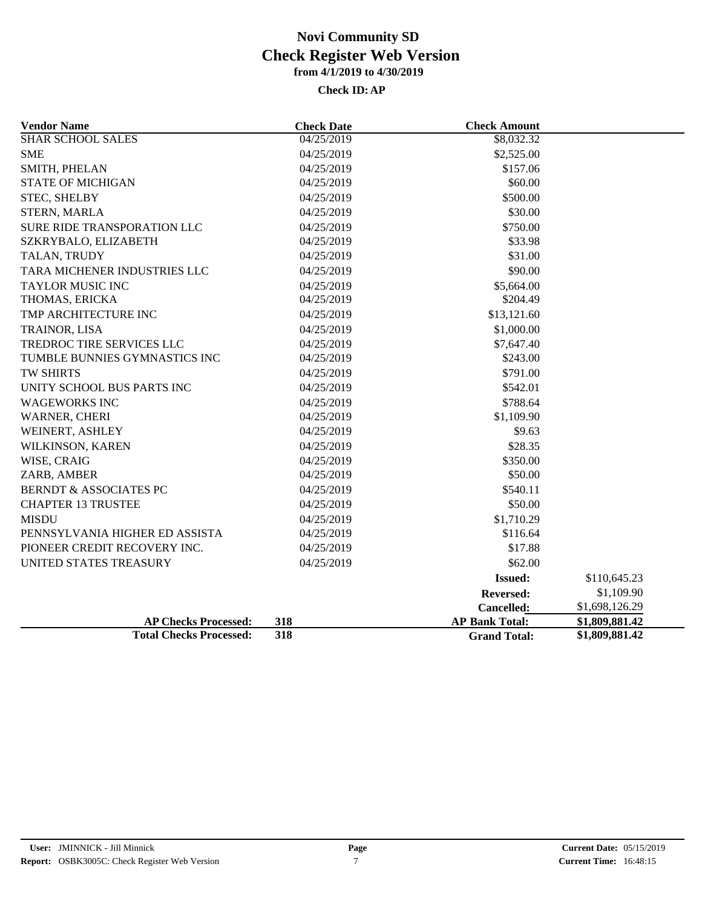| <b>Vendor Name</b>                | <b>Check Date</b> | <b>Check Amount</b>   |                |
|-----------------------------------|-------------------|-----------------------|----------------|
| <b>SHAR SCHOOL SALES</b>          | 04/25/2019        | \$8,032.32            |                |
| <b>SME</b>                        | 04/25/2019        | \$2,525.00            |                |
| SMITH, PHELAN                     | 04/25/2019        | \$157.06              |                |
| <b>STATE OF MICHIGAN</b>          | 04/25/2019        | \$60.00               |                |
| STEC, SHELBY                      | 04/25/2019        | \$500.00              |                |
| <b>STERN, MARLA</b>               | 04/25/2019        | \$30.00               |                |
| SURE RIDE TRANSPORATION LLC       | 04/25/2019        | \$750.00              |                |
| SZKRYBALO, ELIZABETH              | 04/25/2019        | \$33.98               |                |
| TALAN, TRUDY                      | 04/25/2019        | \$31.00               |                |
| TARA MICHENER INDUSTRIES LLC      | 04/25/2019        | \$90.00               |                |
| <b>TAYLOR MUSIC INC</b>           | 04/25/2019        | \$5,664.00            |                |
| THOMAS, ERICKA                    | 04/25/2019        | \$204.49              |                |
| TMP ARCHITECTURE INC              | 04/25/2019        | \$13,121.60           |                |
| TRAINOR, LISA                     | 04/25/2019        | \$1,000.00            |                |
| TREDROC TIRE SERVICES LLC         | 04/25/2019        | \$7,647.40            |                |
| TUMBLE BUNNIES GYMNASTICS INC     | 04/25/2019        | \$243.00              |                |
| <b>TW SHIRTS</b>                  | 04/25/2019        | \$791.00              |                |
| UNITY SCHOOL BUS PARTS INC        | 04/25/2019        | \$542.01              |                |
| <b>WAGEWORKS INC</b>              | 04/25/2019        | \$788.64              |                |
| WARNER, CHERI                     | 04/25/2019        | \$1,109.90            |                |
| WEINERT, ASHLEY                   | 04/25/2019        | \$9.63                |                |
| WILKINSON, KAREN                  | 04/25/2019        | \$28.35               |                |
| WISE, CRAIG                       | 04/25/2019        | \$350.00              |                |
| ZARB, AMBER                       | 04/25/2019        | \$50.00               |                |
| <b>BERNDT &amp; ASSOCIATES PC</b> | 04/25/2019        | \$540.11              |                |
| <b>CHAPTER 13 TRUSTEE</b>         | 04/25/2019        | \$50.00               |                |
| <b>MISDU</b>                      | 04/25/2019        | \$1,710.29            |                |
| PENNSYLVANIA HIGHER ED ASSISTA    | 04/25/2019        | \$116.64              |                |
| PIONEER CREDIT RECOVERY INC.      | 04/25/2019        | \$17.88               |                |
| UNITED STATES TREASURY            | 04/25/2019        | \$62.00               |                |
|                                   |                   | <b>Issued:</b>        | \$110,645.23   |
|                                   |                   | <b>Reversed:</b>      | \$1,109.90     |
|                                   |                   | Cancelled:            | \$1,698,126.29 |
| <b>AP Checks Processed:</b>       | 318               | <b>AP Bank Total:</b> | \$1,809,881.42 |
| <b>Total Checks Processed:</b>    | 318               | <b>Grand Total:</b>   | \$1,809,881.42 |